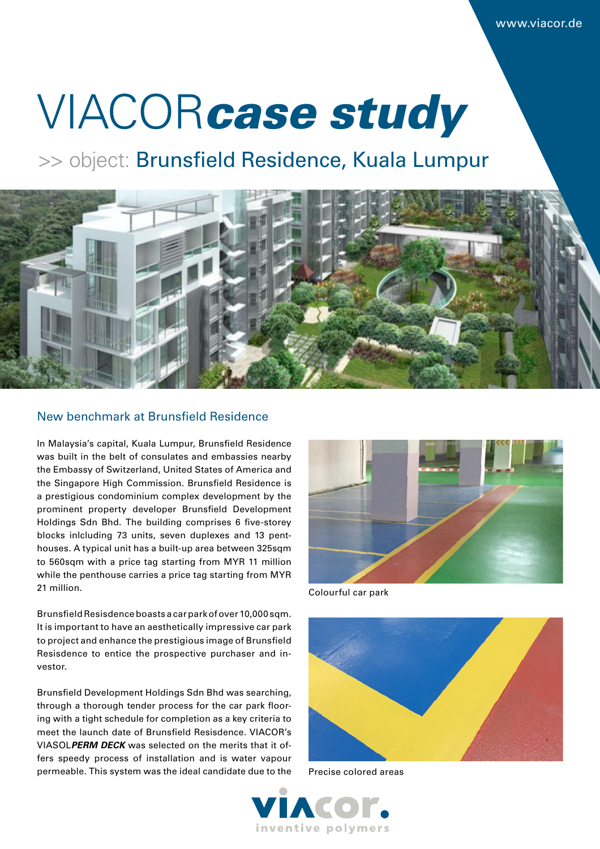# VIACOR*case study*

>> object: Brunsfield Residence, Kuala Lumpur



#### New benchmark at Brunsfield Residence

In Malaysia's capital, Kuala Lumpur, Brunsfield Residence was built in the belt of consulates and embassies nearby the Embassy of Switzerland, United States of America and the Singapore High Commission. Brunsfield Residence is a prestigious condominium complex development by the prominent property developer Brunsfield Development Holdings Sdn Bhd. The building comprises 6 five-storey blocks inlcluding 73 units, seven duplexes and 13 penthouses. A typical unit has a built-up area between 325sqm to 560sqm with a price tag starting from MYR 11 million while the penthouse carries a price tag starting from MYR 21 million.

Brunsfield Resisdence boasts a car park of over 10,000 sqm. It is important to have an aesthetically impressive car park to project and enhance the prestigious image of Brunsfield Resisdence to entice the prospective purchaser and investor.

Brunsfield Development Holdings Sdn Bhd was searching, through a thorough tender process for the car park flooring with a tight schedule for completion as a key criteria to meet the launch date of Brunsfield Resisdence. VIACOR's VIASOL*PERM DECK* was selected on the merits that it offers speedy process of installation and is water vapour permeable. This system was the ideal candidate due to the



Colourful car park



Precise colored areas